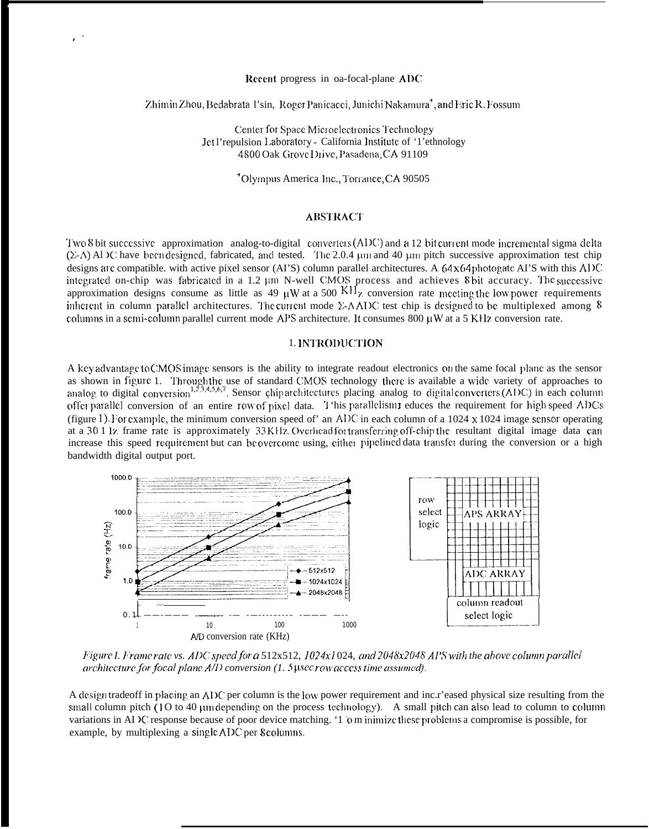#### Recent progress in oa-focal-plane ADC

# Zhimin Zhou, Bedabrata 1'sin, Roger Panicacci, Junichi Nakamura<sup>+</sup>, and Fric R. Fossum

Center for Space Microelectronics Technology Jet l'repulsion Laboratory - California Institute of '1'ethnology 4800 Oak Grove Drive, Pasadena, CA 91109

<sup>4</sup>Olympus America Inc., Torrance, CA 90505

# **ABSTRACT**

Two 8 bit successive approximation analog-to-digital converters (ADC) and a 12 bit current mode incremental sigma delta  $(\Sigma-A)$  Al  $\Sigma$  have been designed, fabricated, and tested. The 2.0.4 µm and 40 µm pitch successive approximation test chip designs are compatible, with active pixel sensor (AI'S) column parallel architectures. A  $64 \times 64$  photogate AI'S with this ADC integrated on-chip was fabricated in a 1.2  $\mu$ m N-well CMOS process and achieves 8 bit accuracy. The successive approximation designs consume as little as 49  $\mu$ W at a 500 KH<sub>z</sub> conversion rate meeting the low power req inherent in column parallel architectures. The current mode  $\Sigma$ -AADC test chip is designed to be multiplexed among 8 columns in a semi-column parallel current mode APS architecture. It consumes  $800 \mu W$  at a 5 KHz conversion rate.

#### 1. INTRODUCTION

A key advantage to CMOS image sensors is the ability to integrate readout electronics on the same focal plane as the sensor as shown in figure 1. Through the use of standard CMOS technology there is available a wide variety of approaches to analog to digital conversion<sup>1,2,3,4,5,6,7</sup>. Sensor chiparchitectures placing analog to digital converters (ADC) in each column offer parallel conversion of an entire row of pixel data. T 'his parallelism1 educes the requirement for high speed ADCs (figure 1). For example, the minimum conversion speed of an ADC in each column of a 1024 x 1024 image sensor operating at a 30.1 lz frame rate is approximately 33 KHz. Overhead for transferring off-chip the resultant digital image data can increase this speed requirement but can be overcome using, either pipelined data transfer during the conversion or a high bandwidth digital output port.



Figure I. Frame rate vs. ADC speed for a 512x512, 1024x1024, and 2048x2048 APS with the above column parallel  $architecture$  for focal plane  $A/D$  conversion (1. 5 usec row access time assumed).

A design tradeoff in placing an ADC per column is the low power requirement and inc.r'eased physical size resulting from the small column pitch (1O to 40 µm depending on the process technology). A small pitch can also lead to column to column variations in ADC response because of poor device matching. '1 o m inimize these problems a compromise is possible, for example, by multiplexing a single ADC per 8 columns.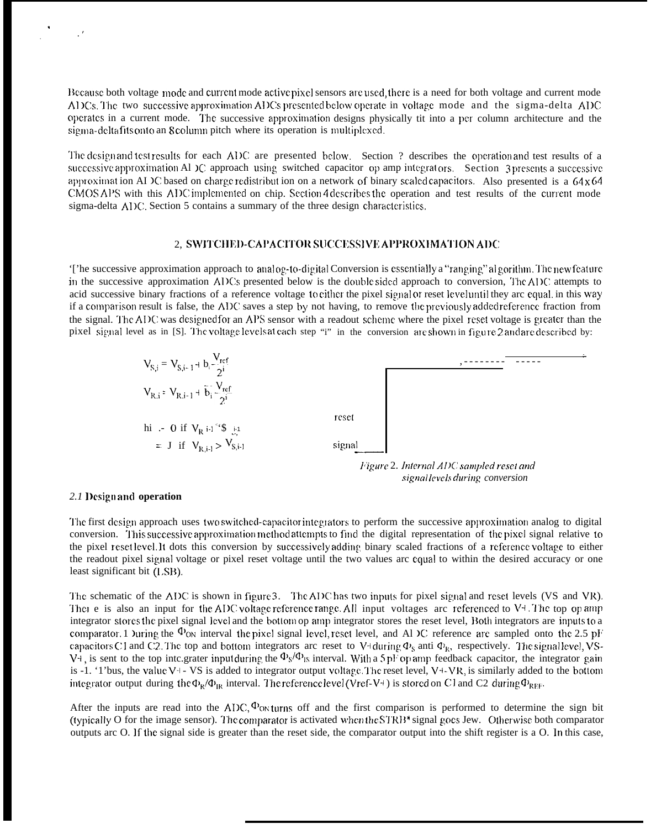Because both voltage mode and current mode active pixel sensors are used, there is a need for both voltage and current mode ADCs. The two successive approximation ADCs presented below operate in voltage mode and the sigma-delta ADC operates in a current mode. The successive approximation designs physically tit into a per column architecture and the sigma-deltafits onto an 8 column pitch where its operation is multiplexed.

The design and test results for each ADC are presented below. Section ? describes the operation and test results of a successive approximation Al IC approach using switched capacitor op amp integrators. Section 3 presents a successive approximation AI IC based on charge redistribution on a network of binary scaled capacitors. Also presented is a  $64 \times 64$ CMOS APS with this ADC implemented on chip. Section 4 describes the operation and test results of the current mode sigma-delta ADC. Section 5 contains a summary of the three design characteristics.

# 2. SWITCHED-CAPACITOR SUCCESSIVE APPROXIMATION ADC

'['he successive approximation approach to analog-to-digital Conversion is essentially a "ranging" algorithm. The new feature in the successive approximation ADCs presented below is the double sided approach to conversion. The ADC attempts to acid successive binary fractions of a reference voltage to cither the pixel signal or reset level until they are equal, in this way if a comparison result is false, the ADC saves a step by not having, to remove the previously added reference fraction from the signal. The ADC was designed for an APS sensor with a readout scheme where the pixel reset voltage is greater than the pixel signal level as in [S]. The voltage levels at each step "i" in the conversion are shown in figure 2 and are described by:



signal levels during conversion

#### 2.1 Designand operation

The first design approach uses two switched-capacitor integrators to perform the successive approximation analog to digital conversion. This successive approximation method attempts to find the digital representation of the pixel signal relative to the pixel reset level. It dots this conversion by successively adding binary scaled fractions of a reference voltage to either the readout pixel signal voltage or pixel reset voltage until the two values arc equal to within the desired accuracy or one least significant bit (LSB).

The schematic of the ADC is shown in figure 3. The ADC has two inputs for pixel signal and reset levels (VS and VR). There is also an input for the ADC voltage reference range. All input voltages are referenced to  $V^4$ . The top op amp integrator stores the pixel signal level and the bottom op amp integrator stores the reset level, Both integrators are inputs to a comparator. 1 Juring the  $\Phi_{ON}$  interval the pixel signal level, reset level, and Al IC reference are sampled onto the 2.5 pF capacitors C1 and C2. The top and bottom integrators arc reset to V+during  $\Phi_s$  anti  $\Phi_k$ , respectively. The signal level, VS-V<sup>4</sup>, is sent to the top inte.grater input during the  $\Phi_8/\Phi_{18}$  interval. With a 5pF op amp feedback capacitor, the integrator gain is -1. '1'bus, the value V+- VS is added to integrator output voltage. The reset level, V+-VR, is similarly added to the bottom integrator output during the  $\Phi_R/\Phi_R$  interval. The reference level (Vref-V+) is stored on C1 and C2 during  $\Phi_{REF}$ .

After the inputs are read into the ADC,  $\Phi$ <sub>ON</sub> turns off and the first comparison is performed to determine the sign bit (typically O for the image sensor). The comparator is activated when the STRB<sup>\*</sup> signal goes Jew. Otherwise both comparator outputs arc O. If the signal side is greater than the reset side, the comparator output into the shift register is a O. In this case,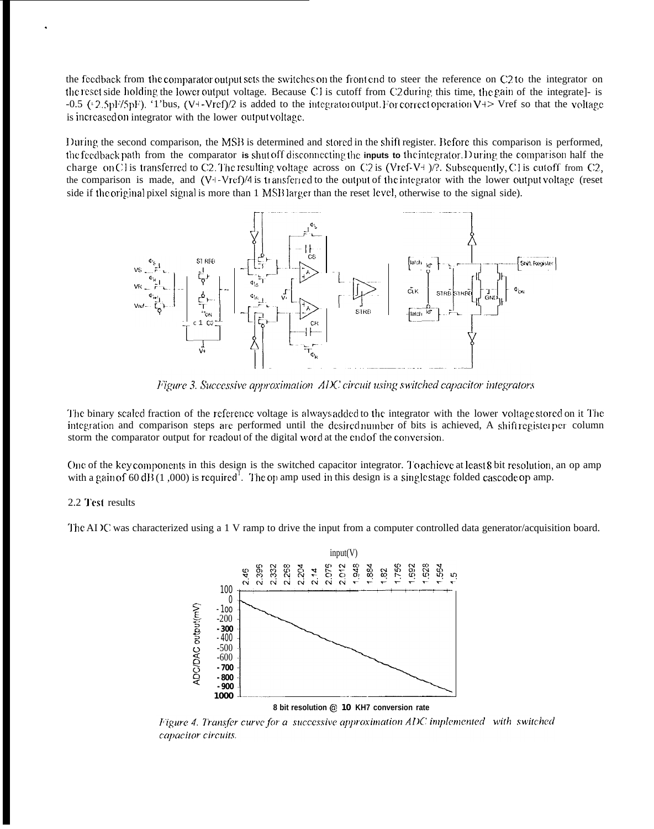the feedback from the comparator output sets the switches on the front end to steer the reference on C2 to the integrator on the reset side holding the lower output voltage. Because C1 is cutoff from C2 during this time, the gain of the integrate]- is -0.5 (: 2.5pF/5pF). '1'bus, (V+-Vref)/2 is added to the integrator output. For correct operation V+> Vref so that the voltage is increased on integrator with the lower output voltage.

During the second comparison, the MSB is determined and stored in the shift register. Before this comparison is performed, the feedback path from the comparator is shut off disconnecting the inputs to the integrator. During the comparison half the charge on C1 is transferred to C2. The resulting voltage across on C2 is (Vref-V+)/?. Subsequently, C1 is cutoff from C2, the comparison is made, and (V+-Vrcf)/4 is transferred to the output of the integrator with the lower output voltage (reset side if the original pixel signal is more than 1 MSB larger than the reset level, otherwise to the signal side).



Figure 3. Successive approximation ADC circuit using switched capacitor integrators

The binary scaled fraction of the reference voltage is alwaysadded to the integrator with the lower voltage stored on it The integration and comparison steps are performed until the desired number of bits is achieved, A shift register per column storm the comparator output for readout of the digital word at the end of the conversion.

One of the key components in this design is the switched capacitor integrator. To achieve at least 8 bit resolution, an op amp with a gain of 60 dB (1,000) is required. The op amp used in this design is a single stage folded cascode op amp.

#### 2.2 Test results

The AI IC was characterized using a 1 V ramp to drive the input from a computer controlled data generator/acquisition board.



8 bit resolution @ 10 KH7 conversion rate

Figure 4. Transfer curve for a successive approximation ADC implemented with switched capacitor circuits.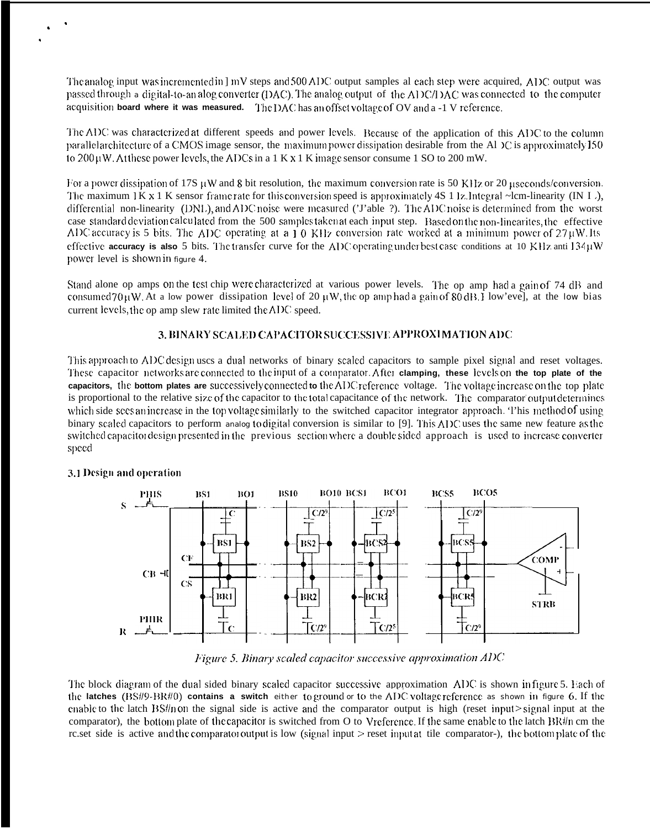The analog input was incremented in ] mV steps and 500 ADC output samples al each step were acquired, ADC output was passed through a digital-to-analog converter (DAC). The analog output of the ADC/DAC was connected to the computer acquisition board where it was measured. The DAC has anoffset voltage of OV and a -1 V reference.

The ADC was characterized at different speeds and power levels. Because of the application of this ADC to the column parallel architecture of a CMOS image sensor, the maximum power dissipation desirable from the A1 IC is approximately 150 to  $200 \mu W$ . At these power levels, the ADCs in a 1 K x 1 K image sensor consume 1 SO to 200 mW.

For a power dissipation of 17S  $\mu$ W and 8 bit resolution, the maximum conversion rate is 50 KHz or 20  $\mu$ seconds/conversion. The maximum 1K x 1 K sensor frame rate for this conversion speed is approximately 4S 1 lz. Integral ~lcm-linearity (IN I), differential non-linearity (DNL), and ADC noise were measured ('J'able ?). The ADC noise is determined from the worst case standard deviation calculated from the 500 samples taken at each input step. Based on the non-linearites, the effective ADC accuracy is 5 bits. The ADC operating at a  $\overline{1}$  0 KHz conversion rate worked at a minimum power of 27 µW. Its effective **accuracy is also** 5 bits. The transfer curve for the ADC operating under best case conditions at 10 KHz anti  $134\mu$ W power level is shown in figure 4.

Stand alone op amps on the test chip were characterized at various power levels. The op amp had a gain of 74 dB and consumed 70 $\mu$ W. At a low power dissipation level of 20  $\mu$ W, the op amp had a gain of 80 dB. I low'evel, at the low bias current levels, the op amp slew rate limited the ADC speed.

### 3, BINARY SCALED CAPACITOR SUCCESSIVE APPROXIMATION ADC

This approach to ADC design uses a dual networks of binary scaled capacitors to sample pixel signal and reset voltages. These capacitor networks are connected to the input of a comparator. After clamping, these levels on the top plate of the capacitors, the bottom plates are successively connected to the ADC reference voltage. The voltage increase on the top plate is proportional to the relative size of the capacitor to the total capacitance of the network. The comparator output determines which side seesan increase in the top voltage similarly to the switched capacitor integrator approach. This method of using binary scaled capacitors to perform analog to digital conversion is similar to [9]. This ADC uses the same new feature as the switched capacitor design presented in the previous section where a double sided approach is used to increase converter speed



#### 3.1 Design and operation

Figure 5. Binary scaled capacitor successive approximation ADC

The block diagram of the dual sided binary scaled capacitor successive approximation ADC is shown infigure 5. Each of the latches  $(BS/\nvert 9-BR/\nvert 0)$  contains a switch either to ground or to the ADC voltage reference as shown in figure 6. If the enable to the latch  $BS/\nparallel$  on the signal side is active and the comparator output is high (reset input > signal input at the comparator), the bottom plate of the capacitor is switched from O to Vreference. If the same enable to the latch BR#n cm the rc.set side is active and the comparator output is low (signal input > reset input at tile comparator-), the bottom plate of the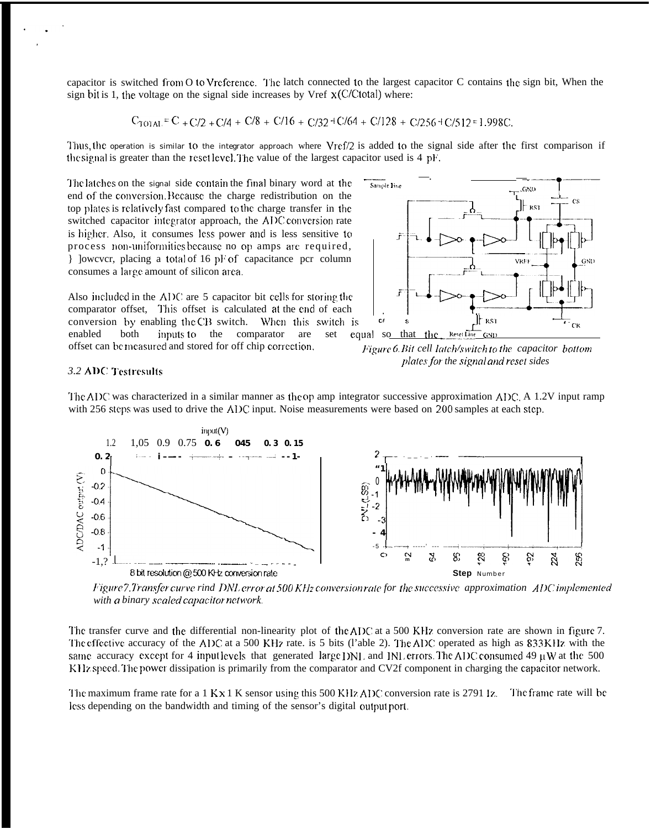capacitor is switched from O to Vreference. The latch connected to the largest capacitor C contains the sign bit, When the sign bit is 1, the voltage on the signal side increases by Vref  $x$  (C/Ctotal) where:

$$
C_{\text{TO1AL}} = C_{+} C/2 + C/4 + C/8 + C/16 + C/32 + C/64 + C/128 + C/256 + C/512 = 1.998C.
$$

Thus, the operation is similar to the integrator approach where Vref/2 is added to the signal side after the first comparison if the signal is greater than the reset level. The value of the largest capacitor used is 4 pF.

The latches on the signal side contain the final binary word at the end of the conversion. Because the charge redistribution on the top plates is relatively fast compared to the charge transfer in the switched capacitor integrator approach, the ADC conversion rate is higher. Also, it consumes less power and is less sensitive to process non-uniformities because no op amps are required. } lowever, placing a total of 16 pF of capacitance per column consumes a large amount of silicon area.

Also included in the ADC are 5 capacitor bit cells for storing the comparator offset, This offset is calculated at the end of each conversion by enabling the CB switch. When this switch is enabled both inputs to the comparator are set

offset can be measured and stored for off chip correction.



Figure 6. Bit cell latch/switch to the capacitor bottom plates for the signal and reset sides

### 3.2 ADC Testresults

The ADC was characterized in a similar manner as the op amp integrator successive approximation ADC. A 1.2V input ramp with 256 steps was used to drive the ADC input. Noise measurements were based on 200 samples at each step.



Figure 7. Transfer curve rind DNL error at 500 KHz conversion rate for the successive approximation ADC implemented with a binary scaled capacitor network

The transfer curve and the differential non-linearity plot of the ADC at a 500 KHz conversion rate are shown in figure 7. The effective accuracy of the ADC at a 500 KHz rate. is 5 bits (l'able 2). The ADC operated as high as 833 KHz with the same accuracy except for 4 input levels that generated large DNL and INL errors. The ADC consumed 49  $\mu$ W at the 500 KHz speed. The power dissipation is primarily from the comparator and CV2f component in charging the capacitor network.

The maximum frame rate for a  $1$  K x 1 K sensor using this 500 KHz ADC conversion rate is 2791  $Iz$ . The frame rate will be less depending on the bandwidth and timing of the sensor's digital output port.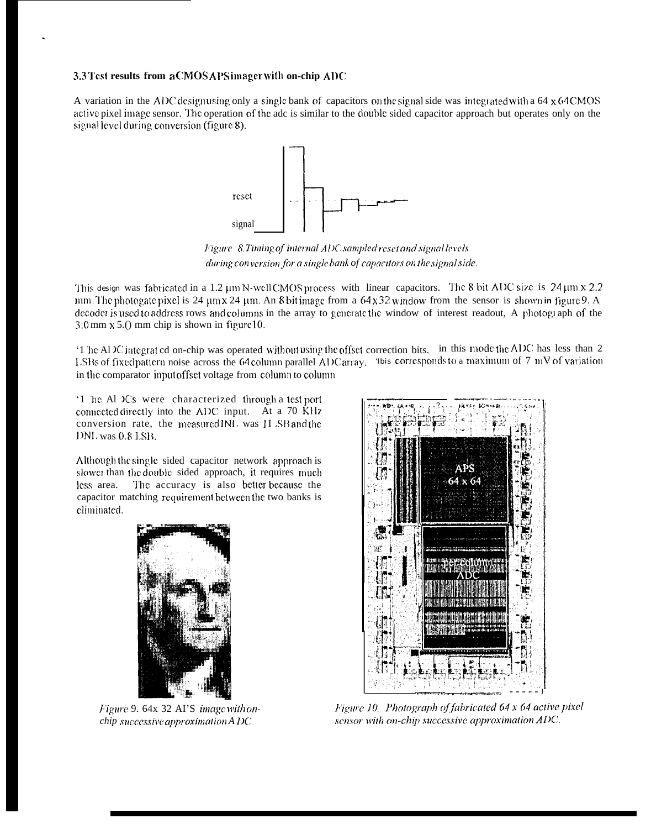### 3.3 Test results from a CMOS APS imager with on-chip ADC

A variation in the ADC designusing only a single bank of capacitors on the signal side was integrated with a 64  $\times$  64 CMOS active pixel image sensor. The operation of the adc is similar to the double sided capacitor approach but operates only on the signal level during conversion (figure 8).



Figure 8.Timing of internal ADC sampled reset and signal levels during conversion for a single bank of capacitors on the signal side.

This design was fabricated in a 1.2 µm N-well CMOS process with linear capacitors. The 8 bit ADC size is 24 µm x 2.2 mm. The photogate pixel is 24  $\mu$ m x 24  $\mu$ m. An 8 bit image from a 64 x 32 window from the sensor is shown in figure 9. A decoder is used to address rows and columns in the array to generate the window of interest readout. A photograph of the  $3.0$  mm  $x$  5.() mm chip is shown in figure 10.

'1 he Al IC integrat ed on-chip was operated without using the offset correction bits. in this mode the ADC has less than 2 LSBs of fixed pattern noise across the 64 column parallel ADC array. This corresponds to a maximum of 7 mV of variation in the comparator input offset voltage from column to column

'1 he Al Cs were characterized through a test port connected directly into the ADC input. At a 70 KHz conversion rate, the measured INL was 1I SB and the DNL was 0.8 LSB.

Although the single sided capacitor network approach is slower than the double sided approach, it requires much The accuracy is also better because the less area. capacitor matching requirement between the two banks is climinated.



Figure 9. 64x 32 AI'S image with onchip successive approximation A DC.



Figure 10. Photograph of fabricated 64 x 64 active pixel sensor with on-chip successive approximation ADC.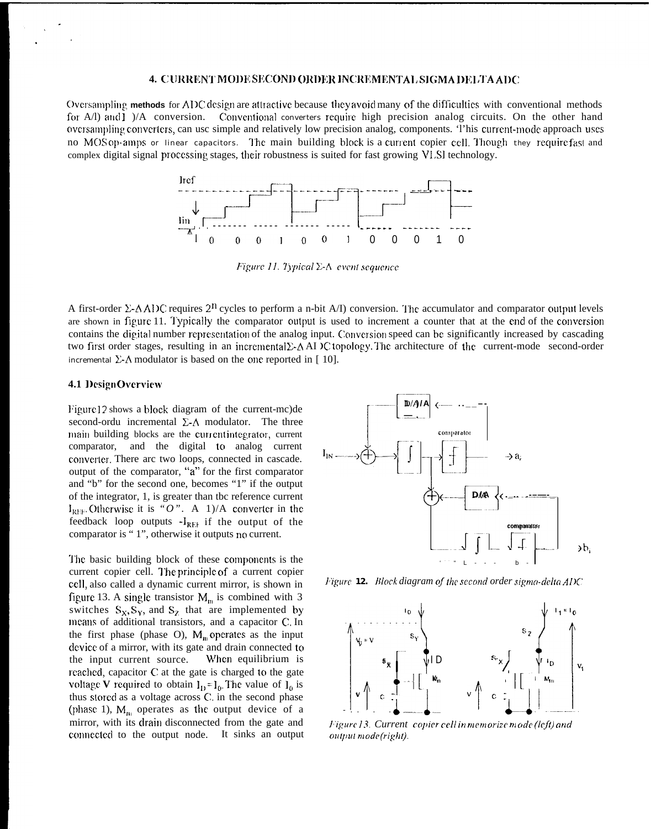#### 4. CURRENT MODE SECOND ORDER INCREMENTAL SIGMA DELTA ADC

Oversampling methods for ADC design are attractive because they avoid many of the difficulties with conventional methods for  $A/I$ ) and  $I$   $)/A$  conversion. Conventional converters require high precision analog circuits. On the other hand oversampling converters, can use simple and relatively low precision analog, components. This current-mode approach uses no MOSop-amps or linear capacitors. The main building block is a current copier cell. Though they require fast and complex digital signal processing stages, their robustness is suited for fast growing VLSI technology.



Figure 11. Typical  $\Sigma$ -A event sequence

A first-order  $\Sigma$ - $\Lambda$  ADC requires  $2^{n}$  cycles to perform a n-bit A/I) conversion. The accumulator and comparator output levels are shown in figure 11. Typically the comparator output is used to increment a counter that at the end of the conversion contains the digital number representation of the analog input. Conversion speed can be significantly increased by cascading two first order stages, resulting in an incremental  $\Sigma$ - $\Delta$  AI  $\nu$  topology. The architecture of the current-mode second-order incremental  $\Sigma$ - $\Lambda$  modulator is based on the one reported in [10].

#### 4.1 Design Overview

Figure 12 shows a block diagram of the current-mc) de second-ordu incremental  $\Sigma$ - $\Lambda$  modulator. The three main building blocks are the currentintegrator, current comparator, and the digital to analog current converter. There arc two loops, connected in cascade. output of the comparator, "a" for the first comparator and "b" for the second one, becomes "1" if the output of the integrator, 1, is greater than tbc reference current  $I_{REF}$ . Otherwise it is "O". A 1)/A converter in the feedback loop outputs  $-I_{REF}$  if the output of the comparator is "1", otherwise it outputs no current.

The basic building block of these components is the current copier cell. The principle of a current copier cell, also called a dynamic current mirror, is shown in figure 13. A single transistor  $M_m$  is combined with 3 switches  $S_x, S_y$ , and  $S_z$  that are implemented by means of additional transistors, and a capacitor C. In the first phase (phase O),  $M_{\text{m}}$  operates as the input device of a mirror, with its gate and drain connected to the input current source. When equilibrium is reached, capacitor C at the gate is charged to the gate voltage V required to obtain  $I_{D} = I_{0}$ . The value of  $I_{0}$  is thus stored as a voltage across C. in the second phase (phase 1),  $M_{\text{m}}$  operates as the output device of a mirror, with its drain disconnected from the gate and connected to the output node. It sinks an output



Figure 12. Block diagram of the second order sigma-delta ADC



Figure 13. Current copier cell in memorize m ode (left) and output mode(right).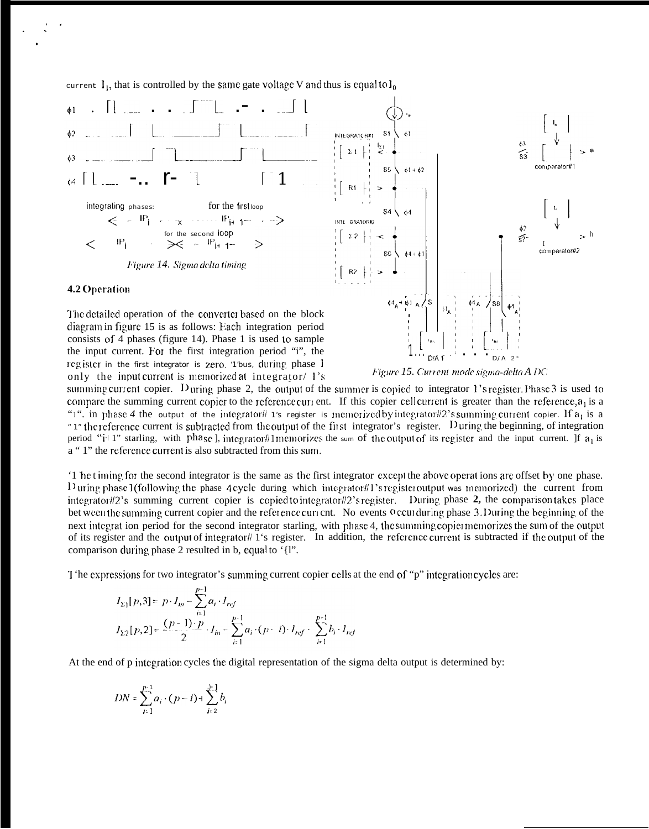current  $I_1$ , that is controlled by the same gate voltage V and thus is equal to  $I_0$ 



### 4.2 Operation

The detailed operation of the converter based on the block diagram in figure 15 is as follows: Each integration period consists of 4 phases (figure 14). Phase 1 is used to sample the input current. For the first integration period "i", the register in the first integrator is zero. Thus, during phase 1 only the input current is memorized at integrator/ 1's



Figure 15. Current mode sigma-delta A DC

summing current copier. During phase 2, the output of the summer is copied to integrator 1's register. Phase  $3$  is used to compare the summing current copier to the reference current. If this copier cell current is greater than the reference,  $a_1$  is a "1". in phase 4 the output of the integrator! 1's register is memorized by integrator! 2's summing current copier. If  $a_1$  is a " 1" the reference current is subtracted from the output of the first integrator's register. During the beginning, of integration period "i<sup>-1</sup> 1" starling, with phase ], integrator#1memorizes the sum of the output of its register and the input current. If  $a_1$  is a "1" the reference current is also subtracted from this sum.

If the timing for the second integrator is the same as the first integrator except the above operations are offset by one phase. During phase 1(following the phase 4 cycle during which integrator#1's registeroutput was memorized) the current from integrator#2's summing current copier is copied to integrator#2's register. During phase 2, the comparison takes place bet ween the summing current copier and the reference current. No events occurduring phase 3. During the beginning of the next integrat ion period for the second integrator starling, with phase 4, the summing copiermemorizes the sum of the output of its register and the output of integrator# 1's register. In addition, the reference current is subtracted if the output of the comparison during phase 2 resulted in b, equal to '{l".

T the expressions for two integrator's summing current copier cells at the end of "p" integration cycles are:

$$
I_{\Sigma_1}[p,3] = p \cdot I_{in} - \sum_{i=1}^{p-1} a_i \cdot I_{ref}
$$
  

$$
I_{\Sigma_2}[p,2] = \frac{(p-1) \cdot p}{2} \cdot I_{in} - \sum_{i=1}^{p-1} a_i \cdot (p-i) \cdot I_{ref} - \sum_{i=1}^{p-1} b_i \cdot I_{ref}
$$

At the end of p integration cycles the digital representation of the sigma delta output is determined by:

$$
DN = \sum_{i=1}^{p-1} a_i \cdot (p-i) + \sum_{i=2}^{j-1} b_i
$$